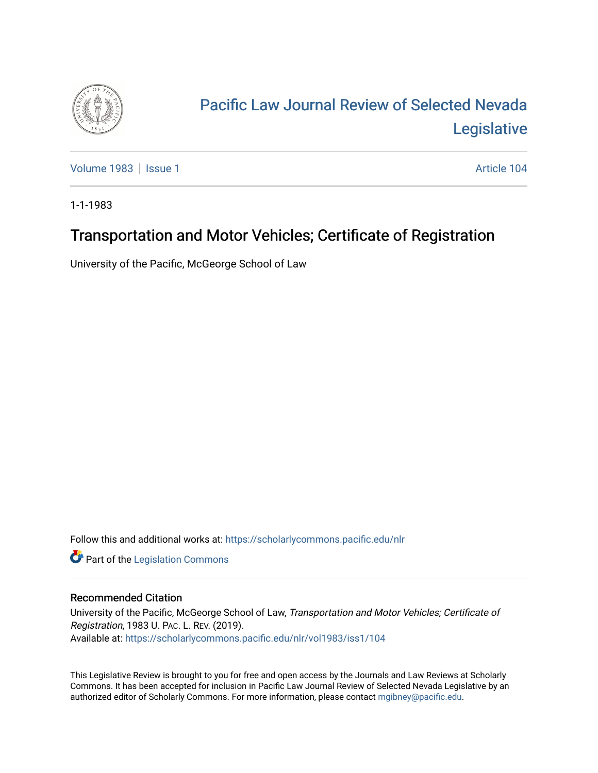

## [Pacific Law Journal Review of Selected Nevada](https://scholarlycommons.pacific.edu/nlr)  [Legislative](https://scholarlycommons.pacific.edu/nlr)

[Volume 1983](https://scholarlycommons.pacific.edu/nlr/vol1983) | [Issue 1](https://scholarlycommons.pacific.edu/nlr/vol1983/iss1) Article 104

1-1-1983

## Transportation and Motor Vehicles; Certificate of Registration

University of the Pacific, McGeorge School of Law

Follow this and additional works at: [https://scholarlycommons.pacific.edu/nlr](https://scholarlycommons.pacific.edu/nlr?utm_source=scholarlycommons.pacific.edu%2Fnlr%2Fvol1983%2Fiss1%2F104&utm_medium=PDF&utm_campaign=PDFCoverPages) 

**Part of the [Legislation Commons](http://network.bepress.com/hgg/discipline/859?utm_source=scholarlycommons.pacific.edu%2Fnlr%2Fvol1983%2Fiss1%2F104&utm_medium=PDF&utm_campaign=PDFCoverPages)** 

## Recommended Citation

University of the Pacific, McGeorge School of Law, Transportation and Motor Vehicles; Certificate of Registration, 1983 U. PAC. L. REV. (2019). Available at: [https://scholarlycommons.pacific.edu/nlr/vol1983/iss1/104](https://scholarlycommons.pacific.edu/nlr/vol1983/iss1/104?utm_source=scholarlycommons.pacific.edu%2Fnlr%2Fvol1983%2Fiss1%2F104&utm_medium=PDF&utm_campaign=PDFCoverPages) 

This Legislative Review is brought to you for free and open access by the Journals and Law Reviews at Scholarly Commons. It has been accepted for inclusion in Pacific Law Journal Review of Selected Nevada Legislative by an authorized editor of Scholarly Commons. For more information, please contact [mgibney@pacific.edu](mailto:mgibney@pacific.edu).